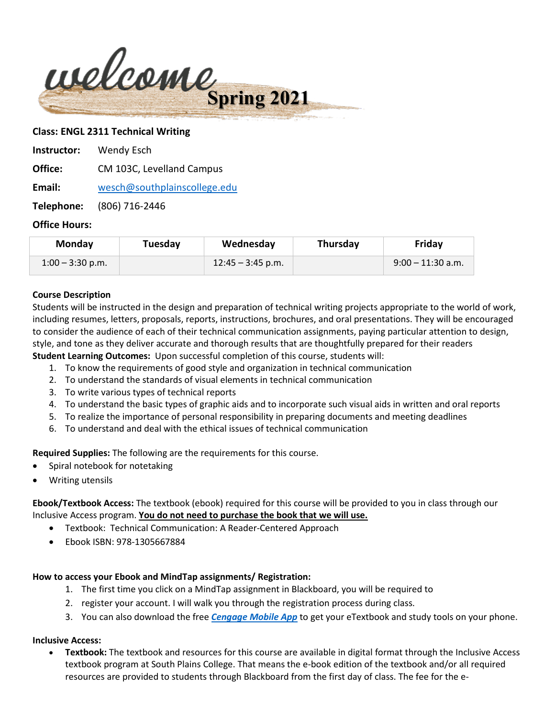

### **Class: ENGL 2311 Technical Writing**

| Instructor: | Wendy Esch                |
|-------------|---------------------------|
| Office:     | CM 103C, Levelland Campus |

**Email:** [wesch@southplainscollege.edu](mailto:wesch@southplainscollege.edu)

**Telephone:** (806) 716-2446

### **Office Hours:**

| Monday             | Tuesday | Wednesday           | Thursday | Friday              |
|--------------------|---------|---------------------|----------|---------------------|
| $1:00 - 3:30$ p.m. |         | $12:45 - 3:45$ p.m. |          | $9:00 - 11:30$ a.m. |

#### **Course Description**

Students will be instructed in the design and preparation of technical writing projects appropriate to the world of work, including resumes, letters, proposals, reports, instructions, brochures, and oral presentations. They will be encouraged to consider the audience of each of their technical communication assignments, paying particular attention to design, style, and tone as they deliver accurate and thorough results that are thoughtfully prepared for their readers **Student Learning Outcomes:** Upon successful completion of this course, students will:

- 1. To know the requirements of good style and organization in technical communication
- 2. To understand the standards of visual elements in technical communication
- 3. To write various types of technical reports
- 4. To understand the basic types of graphic aids and to incorporate such visual aids in written and oral reports
- 5. To realize the importance of personal responsibility in preparing documents and meeting deadlines
- 6. To understand and deal with the ethical issues of technical communication

**Required Supplies:** The following are the requirements for this course.

- Spiral notebook for notetaking
- Writing utensils

**Ebook/Textbook Access:** The textbook (ebook) required for this course will be provided to you in class through our Inclusive Access program. **You do not need to purchase the book that we will use.**

- Textbook: Technical Communication: A Reader-Centered Approach
- Ebook ISBN: 978-1305667884

#### **How to access your Ebook and MindTap assignments/ Registration:**

- 1. The first time you click on a MindTap assignment in Blackboard, you will be required to
- 2. register your account. I will walk you through the registration process during class.
- 3. You can also download the free *[Cengage Mobile App](https://www.cengage.com/mobile-app/)* to get your eTextbook and study tools on your phone.

#### **Inclusive Access:**

• **Textbook:** The textbook and resources for this course are available in digital format through the Inclusive Access textbook program at South Plains College. That means the e-book edition of the textbook and/or all required resources are provided to students through Blackboard from the first day of class. The fee for the e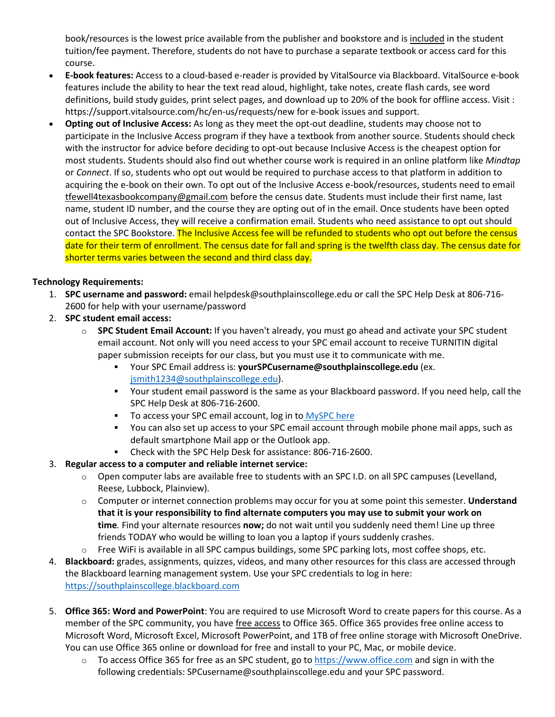book/resources is the lowest price available from the publisher and bookstore and is included in the student tuition/fee payment. Therefore, students do not have to purchase a separate textbook or access card for this course.

- **E-book features:** Access to a cloud-based e-reader is provided by VitalSource via Blackboard. VitalSource e-book features include the ability to hear the text read aloud, highlight, take notes, create flash cards, see word definitions, build study guides, print select pages, and download up to 20% of the book for offline access. Visit : https://support.vitalsource.com/hc/en-us/requests/new for e-book issues and support.
- **Opting out of Inclusive Access:** As long as they meet the opt-out deadline, students may choose not to participate in the Inclusive Access program if they have a textbook from another source. Students should check with the instructor for advice before deciding to opt-out because Inclusive Access is the cheapest option for most students. Students should also find out whether course work is required in an online platform like *Mindtap* or *Connect*. If so, students who opt out would be required to purchase access to that platform in addition to acquiring the e-book on their own. To opt out of the Inclusive Access e-book/resources, students need to email [tfewell4texasbookcompany@gmail.com](mailto:tfewell4texasbookcompany@gmail.com) before the census date. Students must include their first name, last name, student ID number, and the course they are opting out of in the email. Once students have been opted out of Inclusive Access, they will receive a confirmation email. Students who need assistance to opt out should contact the SPC Bookstore. The Inclusive Access fee will be refunded to students who opt out before the census date for their term of enrollment. The census date for fall and spring is the twelfth class day. The census date for shorter terms varies between the second and third class day.

## **Technology Requirements:**

- 1. **SPC username and password:** email helpdesk@southplainscollege.edu or call the SPC Help Desk at 806-716- 2600 for help with your username/password
- 2. **SPC student email access:**
	- o **SPC Student Email Account:** If you haven't already, you must go ahead and activate your SPC student email account. Not only will you need access to your SPC email account to receive TURNITIN digital paper submission receipts for our class, but you must use it to communicate with me.
		- Your SPC Email address is: **yourSPCusername@southplainscollege.edu** (ex. [jsmith1234@southplainscollege.edu\)](mailto:jsmith1234@southplainscollege.edu).
		- Your student email password is the same as your Blackboard password. If you need help, call the SPC Help Desk at 806-716-2600.
		- To access your SPC email account, log in to [MySPC here](https://fs.southplainscollege.edu/adfs/ls?wa=wsignin1.0&wtrealm=urn%3aportal.southplainscollege.edu%3a443&wctx=https%3a%2f%2fportal.southplainscollege.edu%2f_layouts%2f15%2fAuthenticate.aspx%3fSource%3d%252F&wreply=https%3a%2f%2fportal.southplainscollege.edu%2f_trust%2fdefault.aspx)
		- You can also set up access to your SPC email account through mobile phone mail apps, such as default smartphone Mail app or the Outlook app.
		- Check with the SPC Help Desk for assistance: 806-716-2600.
- 3. **Regular access to a computer and reliable internet service:**
	- $\circ$  Open computer labs are available free to students with an SPC I.D. on all SPC campuses (Levelland, Reese, Lubbock, Plainview).
	- o Computer or internet connection problems may occur for you at some point this semester. **Understand that it is your responsibility to find alternate computers you may use to submit your work on time***.* Find your alternate resources **now;** do not wait until you suddenly need them! Line up three friends TODAY who would be willing to loan you a laptop if yours suddenly crashes.
	- o Free WiFi is available in all SPC campus buildings, some SPC parking lots, most coffee shops, etc.
- 4. **Blackboard:** grades, assignments, quizzes, videos, and many other resources for this class are accessed through the Blackboard learning management system. Use your SPC credentials to log in here: [https://southplainscollege.blackboard.com](https://southplainscollege.blackboard.com/)
- 5. **Office 365: Word and PowerPoint**: You are required to use Microsoft Word to create papers for this course. As a member of the SPC community, you have free access to Office 365. Office 365 provides free online access to Microsoft Word, Microsoft Excel, Microsoft PowerPoint, and 1TB of free online storage with Microsoft OneDrive. You can use Office 365 online or download for free and install to your PC, Mac, or mobile device.
	- $\circ$  To access Office 365 for free as an SPC student, go to [https://www.office.com](https://www.office.com/) and sign in with the following credentials: SPCusername@southplainscollege.edu and your SPC password.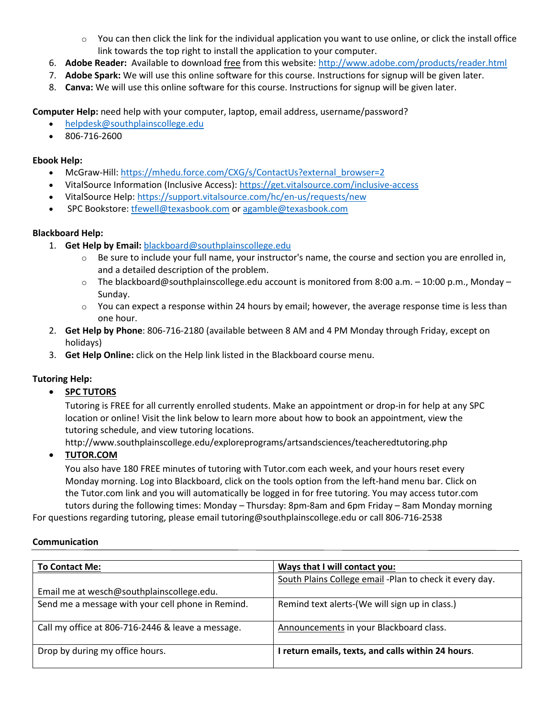- $\circ$  You can then click the link for the individual application you want to use online, or click the install office link towards the top right to install the application to your computer.
- 6. **Adobe Reader:** Available to download free from this website:<http://www.adobe.com/products/reader.html>
- 7. **Adobe Spark:** We will use this online software for this course. Instructions for signup will be given later.
- 8. **Canva:** We will use this online software for this course. Instructions for signup will be given later.

**Computer Help:** need help with your computer, laptop, email address, username/password?

- [helpdesk@southplainscollege.edu](mailto:helpdesk@southplainscollege.edu)
- 806-716-2600

#### **Ebook Help:**

- McGraw-Hill: [https://mhedu.force.com/CXG/s/ContactUs?external\\_browser=2](https://mhedu.force.com/CXG/s/ContactUs?external_browser=2)
- VitalSource Information (Inclusive Access):<https://get.vitalsource.com/inclusive-access>
- VitalSource Help:<https://support.vitalsource.com/hc/en-us/requests/new>
- SPC Bookstore[: tfewell@texasbook.com](mailto:tfewell@texasbook.com) or [agamble@texasbook.com](mailto:agamble@texasbook.com)

### **Blackboard Help:**

- 1. **Get Help by Email:** [blackboard@southplainscollege.edu](mailto:blackboard@southplainscollege.edu)
	- o Be sure to include your full name, your instructor's name, the course and section you are enrolled in, and a detailed description of the problem.
	- $\circ$  The blackboard@southplainscollege.edu account is monitored from 8:00 a.m. 10:00 p.m., Monday Sunday.
	- $\circ$  You can expect a response within 24 hours by email; however, the average response time is less than one hour.
- 2. **Get Help by Phone**: 806-716-2180 (available between 8 AM and 4 PM Monday through Friday, except on holidays)
- 3. **Get Help Online:** click on the Help link listed in the Blackboard course menu.

## **Tutoring Help:**

• **SPC TUTORS**

Tutoring is FREE for all currently enrolled students. Make an appointment or drop-in for help at any SPC location or online! Visit the link below to learn more about how to book an appointment, view the tutoring schedule, and view tutoring locations.

http://www.southplainscollege.edu/exploreprograms/artsandsciences/teacheredtutoring.php

## • **TUTOR.COM**

You also have 180 FREE minutes of tutoring with Tutor.com each week, and your hours reset every Monday morning. Log into Blackboard, click on the tools option from the left-hand menu bar. Click on the Tutor.com link and you will automatically be logged in for free tutoring. You may access tutor.com tutors during the following times: Monday – Thursday: 8pm-8am and 6pm Friday – 8am Monday morning

For questions regarding tutoring, please email tutoring@southplainscollege.edu or call 806-716-2538

#### **Communication**

| <b>To Contact Me:</b>                             | Ways that I will contact you:                           |
|---------------------------------------------------|---------------------------------------------------------|
|                                                   | South Plains College email -Plan to check it every day. |
| Email me at wesch@southplainscollege.edu.         |                                                         |
| Send me a message with your cell phone in Remind. | Remind text alerts-(We will sign up in class.)          |
| Call my office at 806-716-2446 & leave a message. | Announcements in your Blackboard class.                 |
| Drop by during my office hours.                   | I return emails, texts, and calls within 24 hours.      |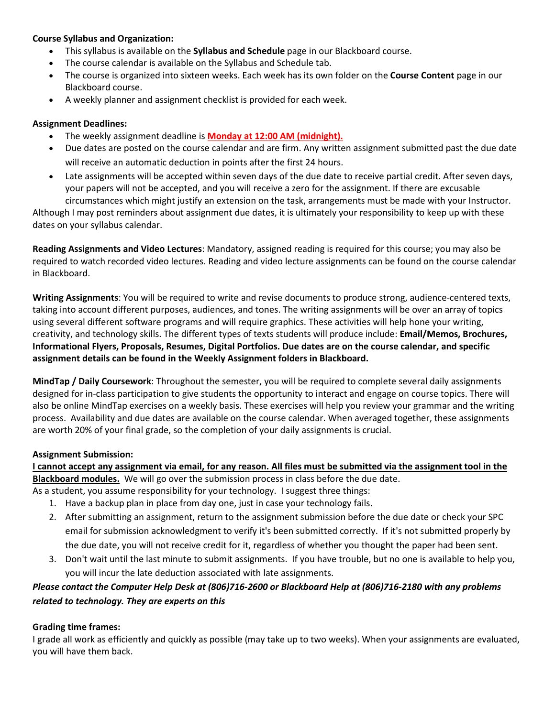### **Course Syllabus and Organization:**

- This syllabus is available on the **Syllabus and Schedule** page in our Blackboard course.
- The course calendar is available on the Syllabus and Schedule tab.
- The course is organized into sixteen weeks. Each week has its own folder on the **Course Content** page in our Blackboard course.
- A weekly planner and assignment checklist is provided for each week.

### **Assignment Deadlines:**

- The weekly assignment deadline is **Monday at 12:00 AM (midnight).**
- Due dates are posted on the course calendar and are firm. Any written assignment submitted past the due date will receive an automatic deduction in points after the first 24 hours.
- Late assignments will be accepted within seven days of the due date to receive partial credit. After seven days, your papers will not be accepted, and you will receive a zero for the assignment. If there are excusable circumstances which might justify an extension on the task, arrangements must be made with your Instructor.

Although I may post reminders about assignment due dates, it is ultimately your responsibility to keep up with these dates on your syllabus calendar.

**Reading Assignments and Video Lectures**: Mandatory, assigned reading is required for this course; you may also be required to watch recorded video lectures. Reading and video lecture assignments can be found on the course calendar in Blackboard.

**Writing Assignments**: You will be required to write and revise documents to produce strong, audience-centered texts, taking into account different purposes, audiences, and tones. The writing assignments will be over an array of topics using several different software programs and will require graphics. These activities will help hone your writing, creativity, and technology skills. The different types of texts students will produce include: **Email/Memos, Brochures, Informational Flyers, Proposals, Resumes, Digital Portfolios. Due dates are on the course calendar, and specific assignment details can be found in the Weekly Assignment folders in Blackboard.** 

**MindTap / Daily Coursework**: Throughout the semester, you will be required to complete several daily assignments designed for in-class participation to give students the opportunity to interact and engage on course topics. There will also be online MindTap exercises on a weekly basis. These exercises will help you review your grammar and the writing process. Availability and due dates are available on the course calendar. When averaged together, these assignments are worth 20% of your final grade, so the completion of your daily assignments is crucial.

## **Assignment Submission:**

**I cannot accept any assignment via email, for any reason. All files must be submitted via the assignment tool in the Blackboard modules.** We will go over the submission process in class before the due date.

- As a student, you assume responsibility for your technology. I suggest three things:
	- 1. Have a backup plan in place from day one, just in case your technology fails.
	- 2. After submitting an assignment, return to the assignment submission before the due date or check your SPC email for submission acknowledgment to verify it's been submitted correctly. If it's not submitted properly by the due date, you will not receive credit for it, regardless of whether you thought the paper had been sent.
	- 3. Don't wait until the last minute to submit assignments. If you have trouble, but no one is available to help you, you will incur the late deduction associated with late assignments.

# *Please contact the Computer Help Desk at (806)716-2600 or Blackboard Help at (806)716-2180 with any problems related to technology. They are experts on this*

## **Grading time frames:**

I grade all work as efficiently and quickly as possible (may take up to two weeks). When your assignments are evaluated, you will have them back.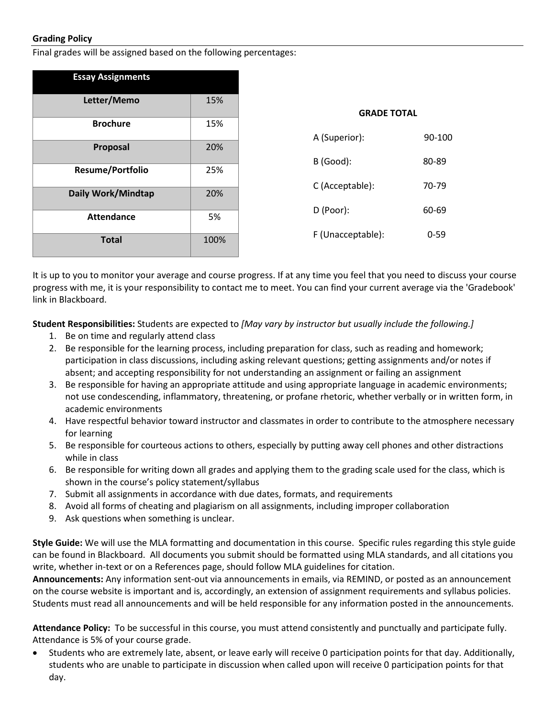### **Grading Policy**

Final grades will be assigned based on the following percentages:

| <b>Essay Assignments</b> |      |                    |          |
|--------------------------|------|--------------------|----------|
| Letter/Memo              | 15%  | <b>GRADE TOTAL</b> |          |
| <b>Brochure</b>          | 15%  |                    |          |
| Proposal                 | 20%  | A (Superior):      | 90-100   |
|                          |      | B (Good):          | 80-89    |
| <b>Resume/Portfolio</b>  | 25%  |                    |          |
| Daily Work/Mindtap       | 20%  | C (Acceptable):    | 70-79    |
|                          |      | D (Poor):          | 60-69    |
| <b>Attendance</b>        | 5%   |                    |          |
| <b>Total</b>             | 100% | F (Unacceptable):  | $0 - 59$ |
|                          |      |                    |          |

It is up to you to monitor your average and course progress. If at any time you feel that you need to discuss your course progress with me, it is your responsibility to contact me to meet. You can find your current average via the 'Gradebook' link in Blackboard.

**Student Responsibilities:** Students are expected to *[May vary by instructor but usually include the following.]*

- 1. Be on time and regularly attend class
- 2. Be responsible for the learning process, including preparation for class, such as reading and homework; participation in class discussions, including asking relevant questions; getting assignments and/or notes if absent; and accepting responsibility for not understanding an assignment or failing an assignment
- 3. Be responsible for having an appropriate attitude and using appropriate language in academic environments; not use condescending, inflammatory, threatening, or profane rhetoric, whether verbally or in written form, in academic environments
- 4. Have respectful behavior toward instructor and classmates in order to contribute to the atmosphere necessary for learning
- 5. Be responsible for courteous actions to others, especially by putting away cell phones and other distractions while in class
- 6. Be responsible for writing down all grades and applying them to the grading scale used for the class, which is shown in the course's policy statement/syllabus
- 7. Submit all assignments in accordance with due dates, formats, and requirements
- 8. Avoid all forms of cheating and plagiarism on all assignments, including improper collaboration
- 9. Ask questions when something is unclear.

**Style Guide:** We will use the MLA formatting and documentation in this course. Specific rules regarding this style guide can be found in Blackboard. All documents you submit should be formatted using MLA standards, and all citations you write, whether in-text or on a References page, should follow MLA guidelines for citation.

**Announcements:** Any information sent-out via announcements in emails, via REMIND, or posted as an announcement on the course website is important and is, accordingly, an extension of assignment requirements and syllabus policies. Students must read all announcements and will be held responsible for any information posted in the announcements.

**Attendance Policy:** To be successful in this course, you must attend consistently and punctually and participate fully. Attendance is 5% of your course grade.

• Students who are extremely late, absent, or leave early will receive 0 participation points for that day. Additionally, students who are unable to participate in discussion when called upon will receive 0 participation points for that day.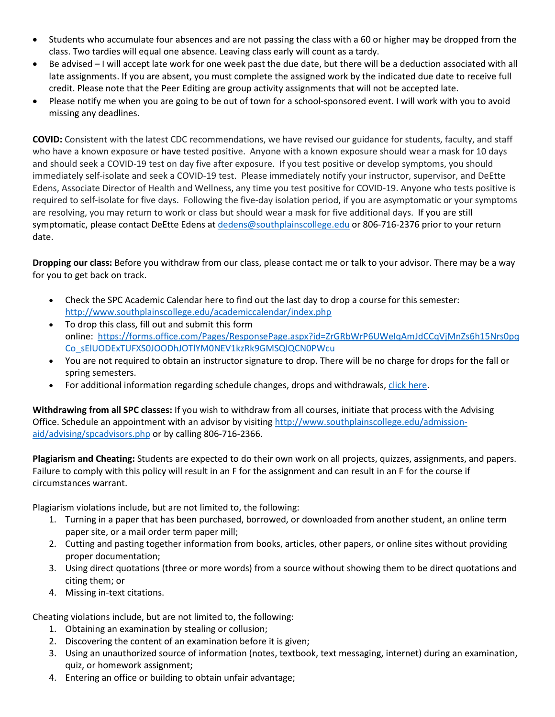- Students who accumulate four absences and are not passing the class with a 60 or higher may be dropped from the class. Two tardies will equal one absence. Leaving class early will count as a tardy.
- Be advised I will accept late work for one week past the due date, but there will be a deduction associated with all late assignments. If you are absent, you must complete the assigned work by the indicated due date to receive full credit. Please note that the Peer Editing are group activity assignments that will not be accepted late.
- Please notify me when you are going to be out of town for a school-sponsored event. I will work with you to avoid missing any deadlines.

**COVID:** Consistent with the latest CDC recommendations, we have revised our guidance for students, faculty, and staff who have a known exposure or have tested positive. Anyone with a known exposure should wear a mask for 10 days and should seek a COVID-19 test on day five after exposure. If you test positive or develop symptoms, you should immediately self-isolate and seek a COVID-19 test. Please immediately notify your instructor, supervisor, and DeEtte Edens, Associate Director of Health and Wellness, any time you test positive for COVID-19. Anyone who tests positive is required to self-isolate for five days. Following the five-day isolation period, if you are asymptomatic or your symptoms are resolving, you may return to work or class but should wear a mask for five additional days. If you are still symptomatic, please contact DeEtte Edens at [dedens@southplainscollege.edu](mailto:dedens@southplainscollege.edu) or 806-716-2376 prior to your return date.

**Dropping our class:** Before you withdraw from our class, please contact me or talk to your advisor. There may be a way for you to get back on track.

- Check the SPC Academic Calendar here to find out the last day to drop a course for this semester: <http://www.southplainscollege.edu/academiccalendar/index.php>
- To drop this class, fill out and submit this form online: [https://forms.office.com/Pages/ResponsePage.aspx?id=ZrGRbWrP6UWeIqAmJdCCqVjMnZs6h15Nrs0pq](https://forms.office.com/Pages/ResponsePage.aspx?id=ZrGRbWrP6UWeIqAmJdCCqVjMnZs6h15Nrs0pqCo_sElUODExTUFXS0JOODhJOTlYM0NEV1kzRk9GMSQlQCN0PWcu) [Co\\_sElUODExTUFXS0JOODhJOTlYM0NEV1kzRk9GMSQlQCN0PWcu](https://forms.office.com/Pages/ResponsePage.aspx?id=ZrGRbWrP6UWeIqAmJdCCqVjMnZs6h15Nrs0pqCo_sElUODExTUFXS0JOODhJOTlYM0NEV1kzRk9GMSQlQCN0PWcu)
- You are not required to obtain an instructor signature to drop. There will be no charge for drops for the fall or spring semesters.
- For additional information regarding schedule changes, drops and withdrawals[, click here.](http://www.southplainscollege.edu/admission-aid/apply/schedulechanges.php)

**Withdrawing from all SPC classes:** If you wish to withdraw from all courses, initiate that process with the Advising Office. Schedule an appointment with an advisor by visiting [http://www.southplainscollege.edu/admission](http://www.southplainscollege.edu/admission-aid/advising/spcadvisors.php)[aid/advising/spcadvisors.php](http://www.southplainscollege.edu/admission-aid/advising/spcadvisors.php) or by calling 806-716-2366.

**Plagiarism and Cheating:** Students are expected to do their own work on all projects, quizzes, assignments, and papers. Failure to comply with this policy will result in an F for the assignment and can result in an F for the course if circumstances warrant.

Plagiarism violations include, but are not limited to, the following:

- 1. Turning in a paper that has been purchased, borrowed, or downloaded from another student, an online term paper site, or a mail order term paper mill;
- 2. Cutting and pasting together information from books, articles, other papers, or online sites without providing proper documentation;
- 3. Using direct quotations (three or more words) from a source without showing them to be direct quotations and citing them; or
- 4. Missing in-text citations.

Cheating violations include, but are not limited to, the following:

- 1. Obtaining an examination by stealing or collusion;
- 2. Discovering the content of an examination before it is given;
- 3. Using an unauthorized source of information (notes, textbook, text messaging, internet) during an examination, quiz, or homework assignment;
- 4. Entering an office or building to obtain unfair advantage;